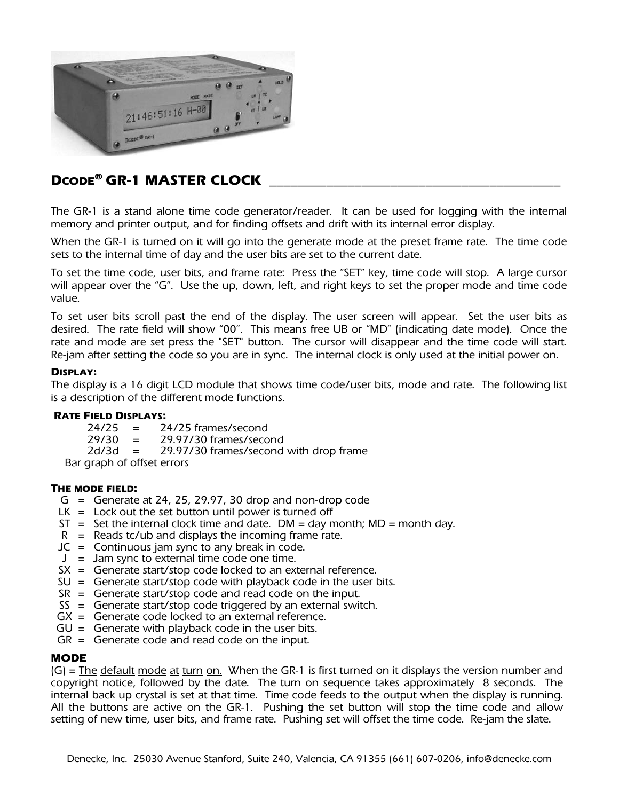

# DCODE<sup>®</sup> GR-1 MASTER CLOCK

The GR-1 is a stand alone time code generator/reader. It can be used for logging with the internal memory and printer output, and for finding offsets and drift with its internal error display.

When the GR-1 is turned on it will go into the generate mode at the preset frame rate. The time code sets to the internal time of day and the user bits are set to the current date.

To set the time code, user bits, and frame rate: Press the "SET" key, time code will stop. A large cursor will appear over the "G". Use the up, down, left, and right keys to set the proper mode and time code value.

To set user bits scroll past the end of the display. The user screen will appear. Set the user bits as desired. The rate field will show "00". This means free UB or "MD" (indicating date mode). Once the rate and mode are set press the "SET" button. The cursor will disappear and the time code will start. Re-jam after setting the code so you are in sync. The internal clock is only used at the initial power on.

#### DISPLAY:

The display is a 16 digit LCD module that shows time code/user bits, mode and rate. The following list is a description of the different mode functions.

# **RATE FIELD DISPLAYS:**<br> $74/75 = 74$

24/25 = 24/25 frames/second<br>29/30 = 29.97/30 frames/seco  $29/30 = 29.97/30$  frames/second<br> $2d/3d = 29.97/30$  frames/second 29.97/30 frames/second with drop frame

Bar graph of offset errors

# THE MODE FIELD:

- $G =$  Generate at 24, 25, 29.97, 30 drop and non-drop code
- $LK =$  Lock out the set button until power is turned off
- $ST = Set$  the internal clock time and date. DM = day month; MD = month day.
- $R$  = Reads tc/ub and displays the incoming frame rate.
- $JC =$  Continuous jam sync to any break in code.
- $J =$  Jam sync to external time code one time.
- $SX =$  Generate start/stop code locked to an external reference.
- $SU =$  Generate start/stop code with playback code in the user bits.
- $SR =$  Generate start/stop code and read code on the input.
- $SS =$  Generate start/stop code triggered by an external switch.
- GX = Generate code locked to an external reference.
- $GU =$  Generate with playback code in the user bits.
- $GR =$  Generate code and read code on the input.

#### **MODE**

 $(G)$  = The default mode at turn on. When the GR-1 is first turned on it displays the version number and copyright notice, followed by the date. The turn on sequence takes approximately 8 seconds. The internal back up crystal is set at that time. Time code feeds to the output when the display is running. All the buttons are active on the GR-1. Pushing the set button will stop the time code and allow setting of new time, user bits, and frame rate. Pushing set will offset the time code. Re-jam the slate.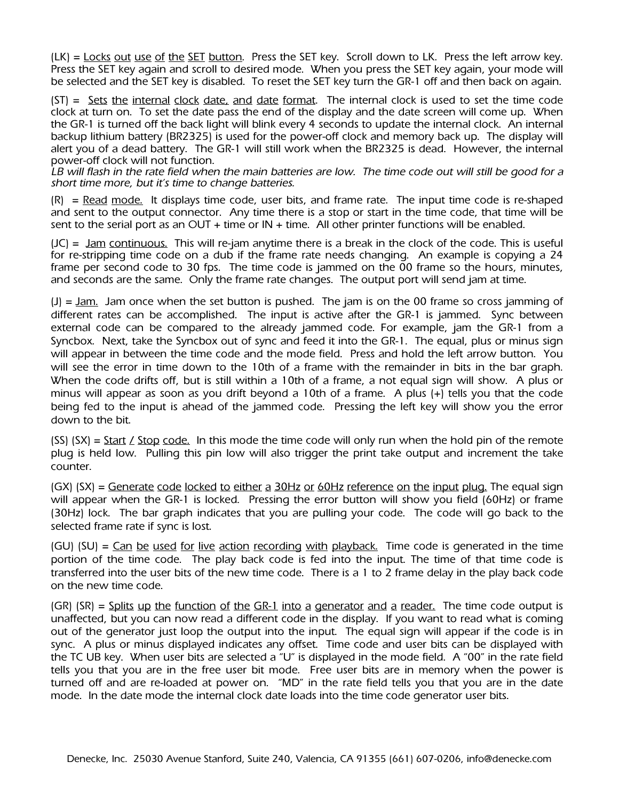(LK) = Locks out use of the SET button. Press the SET key. Scroll down to LK. Press the left arrow key. Press the SET key again and scroll to desired mode. When you press the SET key again, your mode will be selected and the SET key is disabled. To reset the SET key turn the GR-1 off and then back on again.

 $(ST) = Sets$  the internal clock date, and date format. The internal clock is used to set the time code clock at turn on. To set the date pass the end of the display and the date screen will come up. When the GR-1 is turned off the back light will blink every 4 seconds to update the internal clock. An internal backup lithium battery (BR2325) is used for the power-off clock and memory back up. The display will alert you of a dead battery. The GR-1 will still work when the BR2325 is dead. However, the internal power-off clock will not function.

*LB will flash in the rate field when the main batteries are low. The time code out will still be good for a short time more, but it's time to change batteries.* 

 $(R)$  = Read mode. It displays time code, user bits, and frame rate. The input time code is re-shaped and sent to the output connector. Any time there is a stop or start in the time code, that time will be sent to the serial port as an OUT + time or  $IN + time$ . All other printer functions will be enabled.

(JC) = Jam continuous. This will re-jam anytime there is a break in the clock of the code. This is useful for re-stripping time code on a dub if the frame rate needs changing. An example is copying a 24 frame per second code to 30 fps. The time code is jammed on the 00 frame so the hours, minutes, and seconds are the same. Only the frame rate changes. The output port will send jam at time.

(J) = Jam. Jam once when the set button is pushed. The jam is on the 00 frame so cross jamming of different rates can be accomplished. The input is active after the GR-1 is jammed. Sync between external code can be compared to the already jammed code. For example, jam the GR-1 from a Syncbox. Next, take the Syncbox out of sync and feed it into the GR-1. The equal, plus or minus sign will appear in between the time code and the mode field. Press and hold the left arrow button. You will see the error in time down to the 10th of a frame with the remainder in bits in the bar graph. When the code drifts off, but is still within a 10th of a frame, a not equal sign will show. A plus or minus will appear as soon as you drift beyond a 10th of a frame. A plus (+) tells you that the code being fed to the input is ahead of the jammed code. Pressing the left key will show you the error down to the bit.

 $(SS)$   $(SX) =$  Start *L* Stop code. In this mode the time code will only run when the hold pin of the remote plug is held low. Pulling this pin low will also trigger the print take output and increment the take counter.

(GX) (SX) = Generate code locked to either a 30Hz or 60Hz reference on the input plug. The equal sign will appear when the GR-1 is locked. Pressing the error button will show you field (60Hz) or frame (30Hz) lock. The bar graph indicates that you are pulling your code. The code will go back to the selected frame rate if sync is lost.

 $(GU)$  (SU) = Can be used for live action recording with playback. Time code is generated in the time portion of the time code. The play back code is fed into the input. The time of that time code is transferred into the user bits of the new time code. There is a 1 to 2 frame delay in the play back code on the new time code.

 $(GR)$  (SR) = Splits up the function of the GR-1 into a generator and a reader. The time code output is unaffected, but you can now read a different code in the display. If you want to read what is coming out of the generator just loop the output into the input. The equal sign will appear if the code is in sync. A plus or minus displayed indicates any offset. Time code and user bits can be displayed with the TC UB key. When user bits are selected a "U" is displayed in the mode field. A "00" in the rate field tells you that you are in the free user bit mode. Free user bits are in memory when the power is turned off and are re-loaded at power on. "MD" in the rate field tells you that you are in the date mode. In the date mode the internal clock date loads into the time code generator user bits.